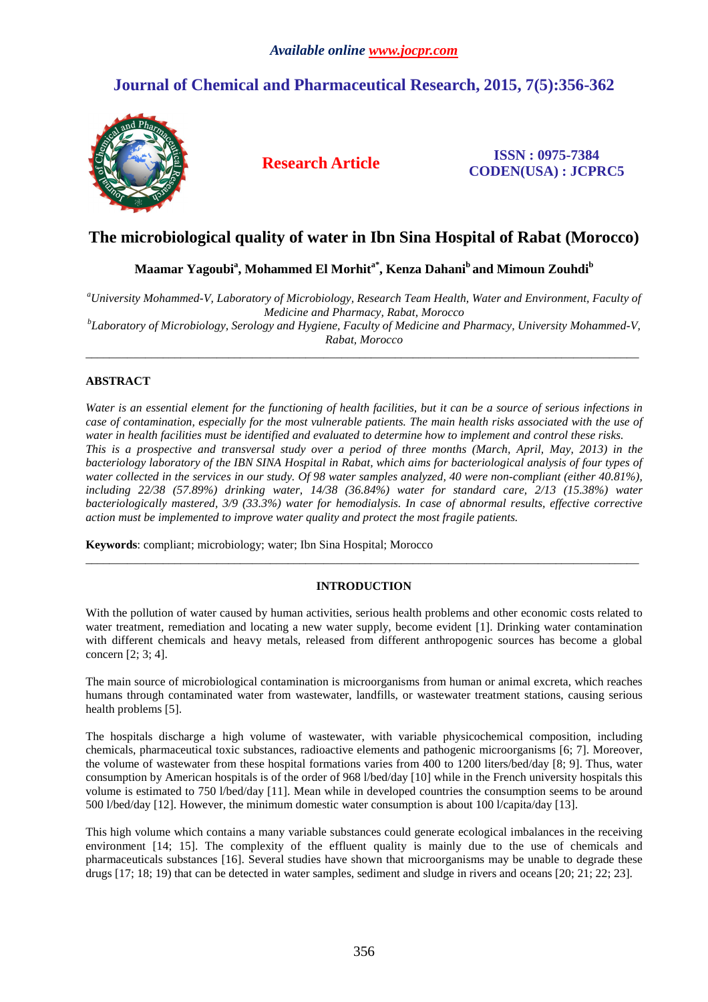# **Journal of Chemical and Pharmaceutical Research, 2015, 7(5):356-362**



**Research Article ISSN : 0975-7384 CODEN(USA) : JCPRC5**

## **The microbiological quality of water in Ibn Sina Hospital of Rabat (Morocco)**

**Maamar Yagoubi<sup>a</sup> , Mohammed El Morhita\*, Kenza Dahani<sup>b</sup>and Mimoun Zouhdi<sup>b</sup>**

*<sup>a</sup>University Mohammed-V, Laboratory of Microbiology, Research Team Health, Water and Environment, Faculty of Medicine and Pharmacy, Rabat, Morocco* 

*b Laboratory of Microbiology, Serology and Hygiene, Faculty of Medicine and Pharmacy, University Mohammed-V, Rabat, Morocco*   $\overline{a}$  , and the contribution of the contribution of the contribution of the contribution of the contribution of the contribution of the contribution of the contribution of the contribution of the contribution of the co

## **ABSTRACT**

*Water is an essential element for the functioning of health facilities, but it can be a source of serious infections in case of contamination, especially for the most vulnerable patients. The main health risks associated with the use of water in health facilities must be identified and evaluated to determine how to implement and control these risks. This is a prospective and transversal study over a period of three months (March, April, May, 2013) in the bacteriology laboratory of the IBN SINA Hospital in Rabat, which aims for bacteriological analysis of four types of water collected in the services in our study. Of 98 water samples analyzed, 40 were non-compliant (either 40.81%), including 22/38 (57.89%) drinking water, 14/38 (36.84%) water for standard care, 2/13 (15.38%) water bacteriologically mastered, 3/9 (33.3%) water for hemodialysis. In case of abnormal results, effective corrective action must be implemented to improve water quality and protect the most fragile patients.* 

**Keywords**: compliant; microbiology; water; Ibn Sina Hospital; Morocco

## **INTRODUCTION**

\_\_\_\_\_\_\_\_\_\_\_\_\_\_\_\_\_\_\_\_\_\_\_\_\_\_\_\_\_\_\_\_\_\_\_\_\_\_\_\_\_\_\_\_\_\_\_\_\_\_\_\_\_\_\_\_\_\_\_\_\_\_\_\_\_\_\_\_\_\_\_\_\_\_\_\_\_\_\_\_\_\_\_\_\_\_\_\_\_\_\_\_\_

With the pollution of water caused by human activities, serious health problems and other economic costs related to water treatment, remediation and locating a new water supply, become evident [1]. Drinking water contamination with different chemicals and heavy metals, released from different anthropogenic sources has become a global concern [2; 3; 4].

The main source of microbiological contamination is microorganisms from human or animal excreta, which reaches humans through contaminated water from wastewater, landfills, or wastewater treatment stations, causing serious health problems [5].

The hospitals discharge a high volume of wastewater, with variable physicochemical composition, including chemicals, pharmaceutical toxic substances, radioactive elements and pathogenic microorganisms [6; 7]. Moreover, the volume of wastewater from these hospital formations varies from 400 to 1200 liters/bed/day [8; 9]. Thus, water consumption by American hospitals is of the order of 968 l/bed/day [10] while in the French university hospitals this volume is estimated to 750 l/bed/day [11]. Mean while in developed countries the consumption seems to be around 500 l/bed/day [12]. However, the minimum domestic water consumption is about 100 l/capita/day [13].

This high volume which contains a many variable substances could generate ecological imbalances in the receiving environment [14; 15]. The complexity of the effluent quality is mainly due to the use of chemicals and pharmaceuticals substances [16]. Several studies have shown that microorganisms may be unable to degrade these drugs [17; 18; 19) that can be detected in water samples, sediment and sludge in rivers and oceans [20; 21; 22; 23].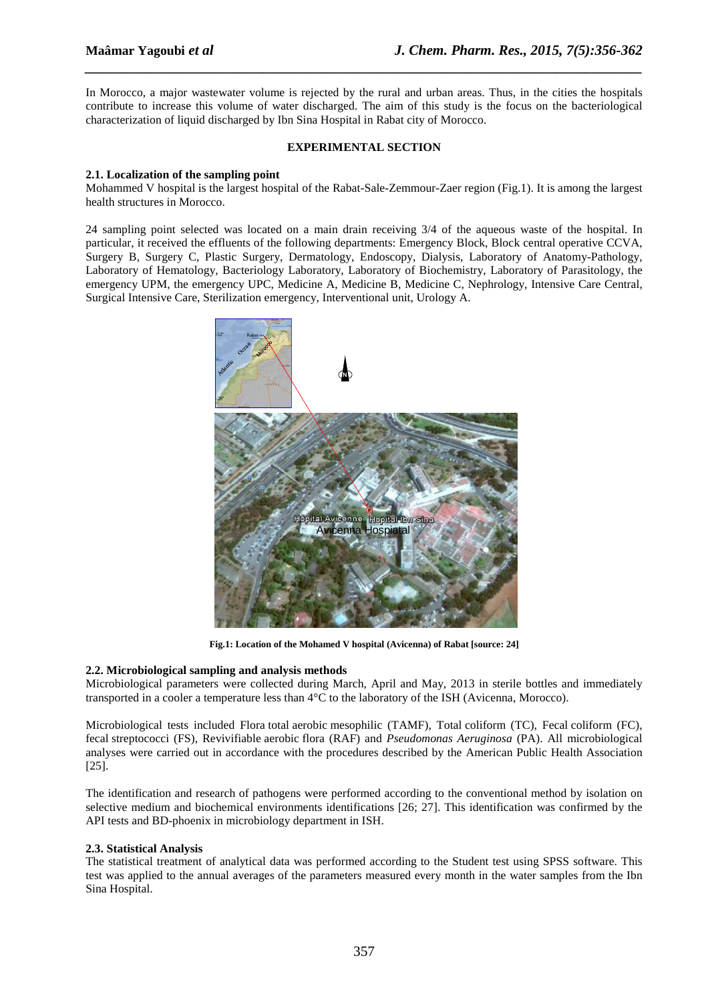In Morocco, a major wastewater volume is rejected by the rural and urban areas. Thus, in the cities the hospitals contribute to increase this volume of water discharged. The aim of this study is the focus on the bacteriological characterization of liquid discharged by Ibn Sina Hospital in Rabat city of Morocco.

*\_\_\_\_\_\_\_\_\_\_\_\_\_\_\_\_\_\_\_\_\_\_\_\_\_\_\_\_\_\_\_\_\_\_\_\_\_\_\_\_\_\_\_\_\_\_\_\_\_\_\_\_\_\_\_\_\_\_\_\_\_\_\_\_\_\_\_\_\_\_\_\_\_\_\_\_\_\_*

## **EXPERIMENTAL SECTION**

## **2.1. Localization of the sampling point**

Mohammed V hospital is the largest hospital of the Rabat-Sale-Zemmour-Zaer region (Fig.1). It is among the largest health structures in Morocco.

24 sampling point selected was located on a main drain receiving 3/4 of the aqueous waste of the hospital. In particular, it received the effluents of the following departments: Emergency Block, Block central operative CCVA, Surgery B, Surgery C, Plastic Surgery, Dermatology, Endoscopy, Dialysis, Laboratory of Anatomy-Pathology, Laboratory of Hematology, Bacteriology Laboratory, Laboratory of Biochemistry, Laboratory of Parasitology, the emergency UPM, the emergency UPC, Medicine A, Medicine B, Medicine C, Nephrology, Intensive Care Central, Surgical Intensive Care, Sterilization emergency, Interventional unit, Urology A.



**Fig.1: Location of the Mohamed V hospital (Avicenna) of Rabat [source: 24]** 

## **2.2. Microbiological sampling and analysis methods**

Microbiological parameters were collected during March, April and May, 2013 in sterile bottles and immediately transported in a cooler a temperature less than 4°C to the laboratory of the ISH (Avicenna, Morocco).

Microbiological tests included Flora total aerobic mesophilic (TAMF), Total coliform (TC), Fecal coliform (FC), fecal streptococci (FS), Revivifiable aerobic flora (RAF) and *Pseudomonas Aeruginosa* (PA). All microbiological analyses were carried out in accordance with the procedures described by the American Public Health Association [25].

The identification and research of pathogens were performed according to the conventional method by isolation on selective medium and biochemical environments identifications [26; 27]. This identification was confirmed by the API tests and BD-phoenix in microbiology department in ISH.

## **2.3. Statistical Analysis**

The statistical treatment of analytical data was performed according to the Student test using SPSS software. This test was applied to the annual averages of the parameters measured every month in the water samples from the Ibn Sina Hospital.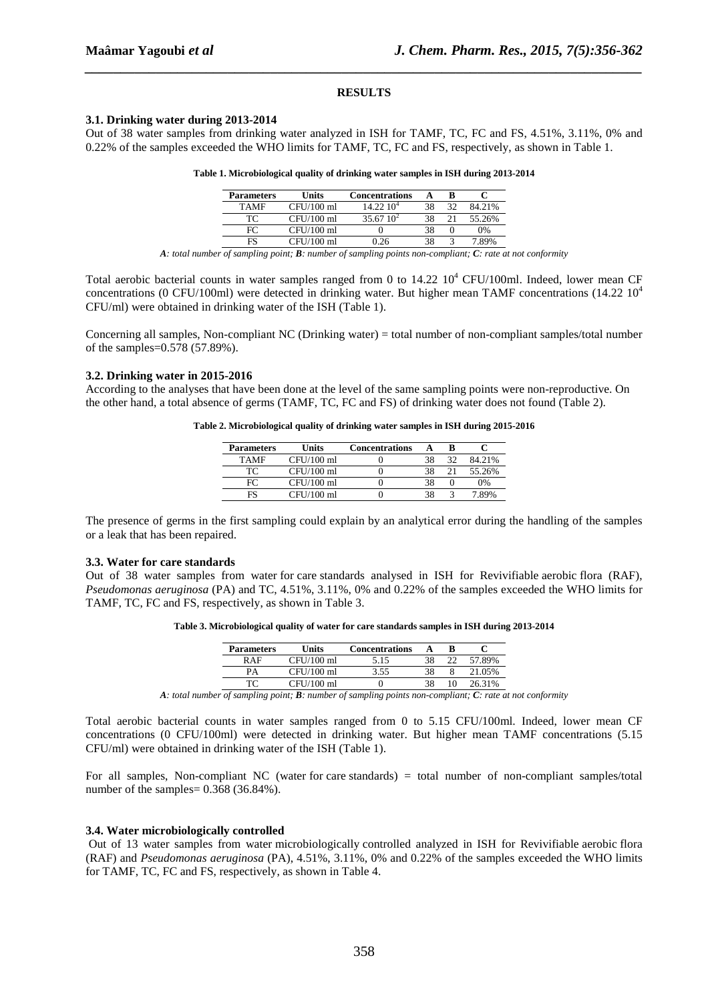#### **RESULTS**

*\_\_\_\_\_\_\_\_\_\_\_\_\_\_\_\_\_\_\_\_\_\_\_\_\_\_\_\_\_\_\_\_\_\_\_\_\_\_\_\_\_\_\_\_\_\_\_\_\_\_\_\_\_\_\_\_\_\_\_\_\_\_\_\_\_\_\_\_\_\_\_\_\_\_\_\_\_\_*

#### **3.1. Drinking water during 2013-2014**

Out of 38 water samples from drinking water analyzed in ISH for TAMF, TC, FC and FS, 4.51%, 3.11%, 0% and 0.22% of the samples exceeded the WHO limits for TAMF, TC, FC and FS, respectively, as shown in Table 1.

| Table 1. Microbiological quality of drinking water samples in ISH during 2013-2014 |  |  |  |
|------------------------------------------------------------------------------------|--|--|--|
|------------------------------------------------------------------------------------|--|--|--|

| <b>Parameters</b> | Units        | <b>Concentrations</b> |    |        |
|-------------------|--------------|-----------------------|----|--------|
| <b>TAMF</b>       | $CFU/100$ ml | $14.22\ 10^4$         |    | 84.21% |
| TC.               | $CFU/100$ ml | $35.67\;10^{2}$       |    | 55.26% |
| FC                | $CFU/100$ ml |                       | 38 | 0%     |
| FS                | $CFU/100$ ml | በ 26                  |    | 7.89%  |

*A: total number of sampling point; B: number of sampling points non-compliant; C: rate at not conformity* 

Total aerobic bacterial counts in water samples ranged from 0 to  $14.22 \times 10^4$  CFU/100ml. Indeed, lower mean CF concentrations (0 CFU/100ml) were detected in drinking water. But higher mean TAMF concentrations (14.22 10<sup>4</sup>) CFU/ml) were obtained in drinking water of the ISH (Table 1).

Concerning all samples, Non-compliant NC (Drinking water) = total number of non-compliant samples/total number of the samples=0.578 (57.89%).

#### **3.2. Drinking water in 2015-2016**

According to the analyses that have been done at the level of the same sampling points were non-reproductive. On the other hand, a total absence of germs (TAMF, TC, FC and FS) of drinking water does not found (Table 2).

**Table 2. Microbiological quality of drinking water samples in ISH during 2015-2016** 

| <b>Parameters</b> | Units        | <b>Concentrations</b> |    |    |        |
|-------------------|--------------|-----------------------|----|----|--------|
| TAMF              | $CFU/100$ ml |                       |    | 32 | 84.21% |
| TC                | $CFU/100$ ml |                       | 38 |    | 55.26% |
| FC                | $CFU/100$ ml |                       | 38 |    | 0%     |
|                   | $CFU/100$ ml |                       |    |    |        |

The presence of germs in the first sampling could explain by an analytical error during the handling of the samples or a leak that has been repaired.

#### **3.3. Water for care standards**

Out of 38 water samples from water for care standards analysed in ISH for Revivifiable aerobic flora (RAF), *Pseudomonas aeruginosa* (PA) and TC, 4.51%, 3.11%, 0% and 0.22% of the samples exceeded the WHO limits for TAMF, TC, FC and FS, respectively, as shown in Table 3.

**Table 3. Microbiological quality of water for care standards samples in ISH during 2013-2014** 

| <b>Parameters</b> | Units        | <b>Concentrations</b> |    |        |
|-------------------|--------------|-----------------------|----|--------|
| <b>RAF</b>        | $CFU/100$ ml | 5.15                  | 38 | 57 89% |
| РA                | $CFU/100$ ml | 3.55                  | 38 | 05%    |
|                   | CFU/100 ml   |                       |    |        |

*A: total number of sampling point; B: number of sampling points non-compliant; C: rate at not conformity* 

Total aerobic bacterial counts in water samples ranged from 0 to 5.15 CFU/100ml. Indeed, lower mean CF concentrations (0 CFU/100ml) were detected in drinking water. But higher mean TAMF concentrations (5.15 CFU/ml) were obtained in drinking water of the ISH (Table 1).

For all samples, Non-compliant NC (water for care standards) = total number of non-compliant samples/total number of the samples=  $0.368$  (36.84%).

#### **3.4. Water microbiologically controlled**

Out of 13 water samples from water microbiologically controlled analyzed in ISH for Revivifiable aerobic flora (RAF) and *Pseudomonas aeruginosa* (PA), 4.51%, 3.11%, 0% and 0.22% of the samples exceeded the WHO limits for TAMF, TC, FC and FS, respectively, as shown in Table 4.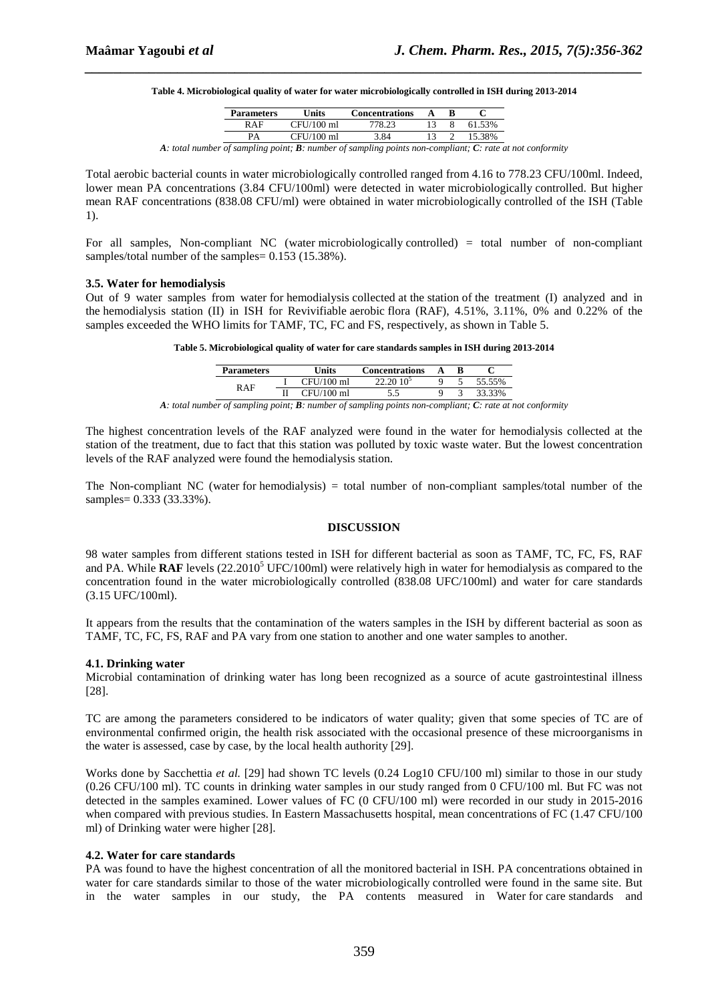| Table 4. Microbiological quality of water for water microbiologically controlled in ISH during 2013-2014 |  |
|----------------------------------------------------------------------------------------------------------|--|
|                                                                                                          |  |

*\_\_\_\_\_\_\_\_\_\_\_\_\_\_\_\_\_\_\_\_\_\_\_\_\_\_\_\_\_\_\_\_\_\_\_\_\_\_\_\_\_\_\_\_\_\_\_\_\_\_\_\_\_\_\_\_\_\_\_\_\_\_\_\_\_\_\_\_\_\_\_\_\_\_\_\_\_\_*

| <b>Parameters</b> | <b>Units</b> | <b>Concentrations</b>                                                                                                     |  |        |
|-------------------|--------------|---------------------------------------------------------------------------------------------------------------------------|--|--------|
| RAF               | CFU/100 ml   | 778.23                                                                                                                    |  | 61.53% |
| РA                | $CFU/100$ ml | 3.84                                                                                                                      |  | 15.38% |
|                   |              | . Let us of a second to a set of $\mathbf D$ , we consider the following second consideration of $\mathbf C$ , which is a |  |        |

*A: total number of sampling point; B: number of sampling points non-compliant; C: rate at not conformity* 

Total aerobic bacterial counts in water microbiologically controlled ranged from 4.16 to 778.23 CFU/100ml. Indeed, lower mean PA concentrations (3.84 CFU/100ml) were detected in water microbiologically controlled. But higher mean RAF concentrations (838.08 CFU/ml) were obtained in water microbiologically controlled of the ISH (Table 1).

For all samples, Non-compliant NC (water microbiologically controlled) = total number of non-compliant samples/total number of the samples=  $0.153$  (15.38%).

#### **3.5. Water for hemodialysis**

Out of 9 water samples from water for hemodialysis collected at the station of the treatment (I) analyzed and in the hemodialysis station (II) in ISH for Revivifiable aerobic flora (RAF), 4.51%, 3.11%, 0% and 0.22% of the samples exceeded the WHO limits for TAMF, TC, FC and FS, respectively, as shown in Table 5.

**Table 5. Microbiological quality of water for care standards samples in ISH during 2013-2014** 

| <b>Parameters</b> | Units      | <b>Concentrations</b> |  |        |
|-------------------|------------|-----------------------|--|--------|
| RAF               | CFU/100 ml |                       |  | 55.55% |
|                   | CFU/100 ml |                       |  | 33%    |

*A: total number of sampling point; B: number of sampling points non-compliant; C: rate at not conformity* 

The highest concentration levels of the RAF analyzed were found in the water for hemodialysis collected at the station of the treatment, due to fact that this station was polluted by toxic waste water. But the lowest concentration levels of the RAF analyzed were found the hemodialysis station.

The Non-compliant NC (water for hemodialysis) = total number of non-compliant samples/total number of the samples= 0.333 (33.33%).

#### **DISCUSSION**

98 water samples from different stations tested in ISH for different bacterial as soon as TAMF, TC, FC, FS, RAF and PA. While RAF levels (22.2010<sup>5</sup> UFC/100ml) were relatively high in water for hemodialysis as compared to the concentration found in the water microbiologically controlled (838.08 UFC/100ml) and water for care standards (3.15 UFC/100ml).

It appears from the results that the contamination of the waters samples in the ISH by different bacterial as soon as TAMF, TC, FC, FS, RAF and PA vary from one station to another and one water samples to another.

#### **4.1. Drinking water**

Microbial contamination of drinking water has long been recognized as a source of acute gastrointestinal illness [28].

TC are among the parameters considered to be indicators of water quality; given that some species of TC are of environmental confirmed origin, the health risk associated with the occasional presence of these microorganisms in the water is assessed, case by case, by the local health authority [29].

Works done by Sacchettia *et al.* [29] had shown TC levels (0.24 Log10 CFU/100 ml) similar to those in our study (0.26 CFU/100 ml). TC counts in drinking water samples in our study ranged from 0 CFU/100 ml. But FC was not detected in the samples examined. Lower values of FC (0 CFU/100 ml) were recorded in our study in 2015-2016 when compared with previous studies. In Eastern Massachusetts hospital, mean concentrations of FC (1.47 CFU/100 ml) of Drinking water were higher [28].

## **4.2. Water for care standards**

PA was found to have the highest concentration of all the monitored bacterial in ISH. PA concentrations obtained in water for care standards similar to those of the water microbiologically controlled were found in the same site. But in the water samples in our study, the PA contents measured in Water for care standards and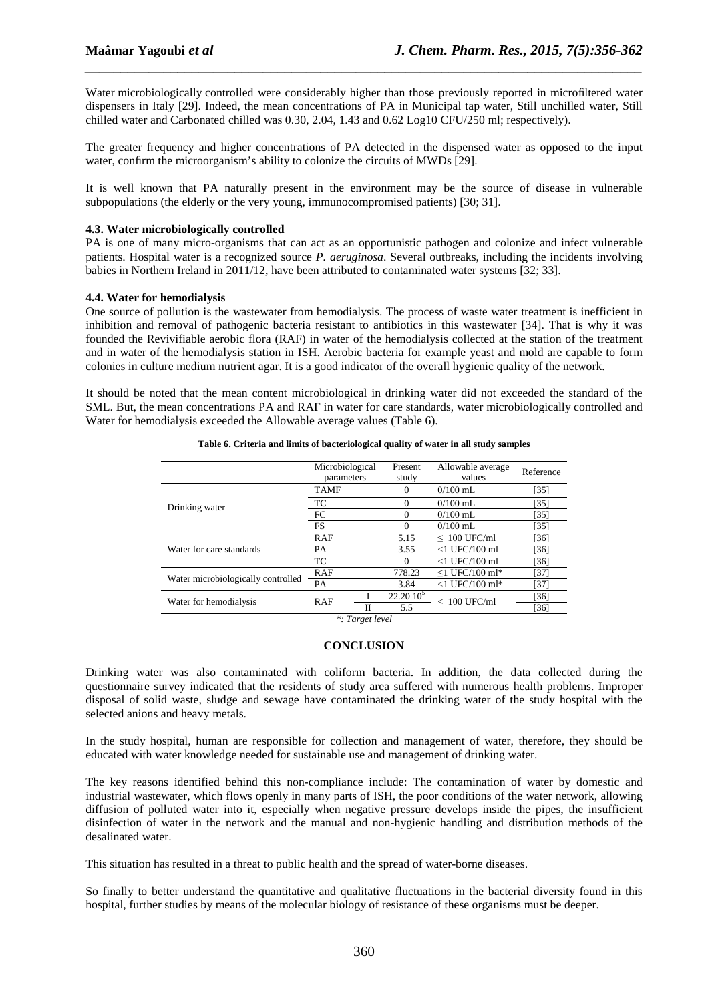Water microbiologically controlled were considerably higher than those previously reported in microfiltered water dispensers in Italy [29]. Indeed, the mean concentrations of PA in Municipal tap water, Still unchilled water, Still chilled water and Carbonated chilled was 0.30, 2.04, 1.43 and 0.62 Log10 CFU/250 ml; respectively).

*\_\_\_\_\_\_\_\_\_\_\_\_\_\_\_\_\_\_\_\_\_\_\_\_\_\_\_\_\_\_\_\_\_\_\_\_\_\_\_\_\_\_\_\_\_\_\_\_\_\_\_\_\_\_\_\_\_\_\_\_\_\_\_\_\_\_\_\_\_\_\_\_\_\_\_\_\_\_*

The greater frequency and higher concentrations of PA detected in the dispensed water as opposed to the input water, confirm the microorganism's ability to colonize the circuits of MWDs [29].

It is well known that PA naturally present in the environment may be the source of disease in vulnerable subpopulations (the elderly or the very young, immunocompromised patients) [30; 31].

### **4.3. Water microbiologically controlled**

PA is one of many micro-organisms that can act as an opportunistic pathogen and colonize and infect vulnerable patients. Hospital water is a recognized source *P. aeruginosa*. Several outbreaks, including the incidents involving babies in Northern Ireland in 2011/12, have been attributed to contaminated water systems [32; 33].

#### **4.4. Water for hemodialysis**

One source of pollution is the wastewater from hemodialysis. The process of waste water treatment is inefficient in inhibition and removal of pathogenic bacteria resistant to antibiotics in this wastewater [34]. That is why it was founded the Revivifiable aerobic flora (RAF) in water of the hemodialysis collected at the station of the treatment and in water of the hemodialysis station in ISH. Aerobic bacteria for example yeast and mold are capable to form colonies in culture medium nutrient agar. It is a good indicator of the overall hygienic quality of the network.

It should be noted that the mean content microbiological in drinking water did not exceeded the standard of the SML. But, the mean concentrations PA and RAF in water for care standards, water microbiologically controlled and Water for hemodialysis exceeded the Allowable average values (Table 6).

|                                    | Microbiological<br>parameters | Present<br>study | Allowable average<br>values | Reference         |
|------------------------------------|-------------------------------|------------------|-----------------------------|-------------------|
|                                    | <b>TAMF</b>                   |                  | $0/100$ mL                  | [35]              |
| Drinking water                     | TC                            |                  | $0/100$ mL                  | [35]              |
|                                    | FC                            | 0                | $0/100$ mL                  | [35]              |
|                                    | <b>FS</b>                     |                  | $0/100$ mL                  | [35]              |
|                                    | RAF                           | 5.15             | $\leq 100$ UFC/ml           | [36]              |
| Water for care standards           | PA                            | 3.55             | $<$ 1 UFC/100 ml            | [36]              |
|                                    | TC                            |                  | $<$ 1 UFC/100 ml            | [36]              |
| Water microbiologically controlled | <b>RAF</b>                    | 778.23           | $\leq$ 1 UFC/100 ml*        | $\left[37\right]$ |
|                                    | <b>PA</b>                     | 3.84             | $<$ 1 UFC/100 ml*           | [37]              |
| Water for hemodialysis             | <b>RAF</b>                    | $22.20\,10^5$    | $< 100$ UFC/ml              | [36]              |
|                                    | П                             | 5.5              |                             | [36]              |

#### **Table 6. Criteria and limits of bacteriological quality of water in all study samples**

*\*: Target level* 

## **CONCLUSION**

Drinking water was also contaminated with coliform bacteria. In addition, the data collected during the questionnaire survey indicated that the residents of study area suffered with numerous health problems. Improper disposal of solid waste, sludge and sewage have contaminated the drinking water of the study hospital with the selected anions and heavy metals.

In the study hospital, human are responsible for collection and management of water, therefore, they should be educated with water knowledge needed for sustainable use and management of drinking water.

The key reasons identified behind this non-compliance include: The contamination of water by domestic and industrial wastewater, which flows openly in many parts of ISH, the poor conditions of the water network, allowing diffusion of polluted water into it, especially when negative pressure develops inside the pipes, the insufficient disinfection of water in the network and the manual and non-hygienic handling and distribution methods of the desalinated water.

This situation has resulted in a threat to public health and the spread of water-borne diseases.

So finally to better understand the quantitative and qualitative fluctuations in the bacterial diversity found in this hospital, further studies by means of the molecular biology of resistance of these organisms must be deeper.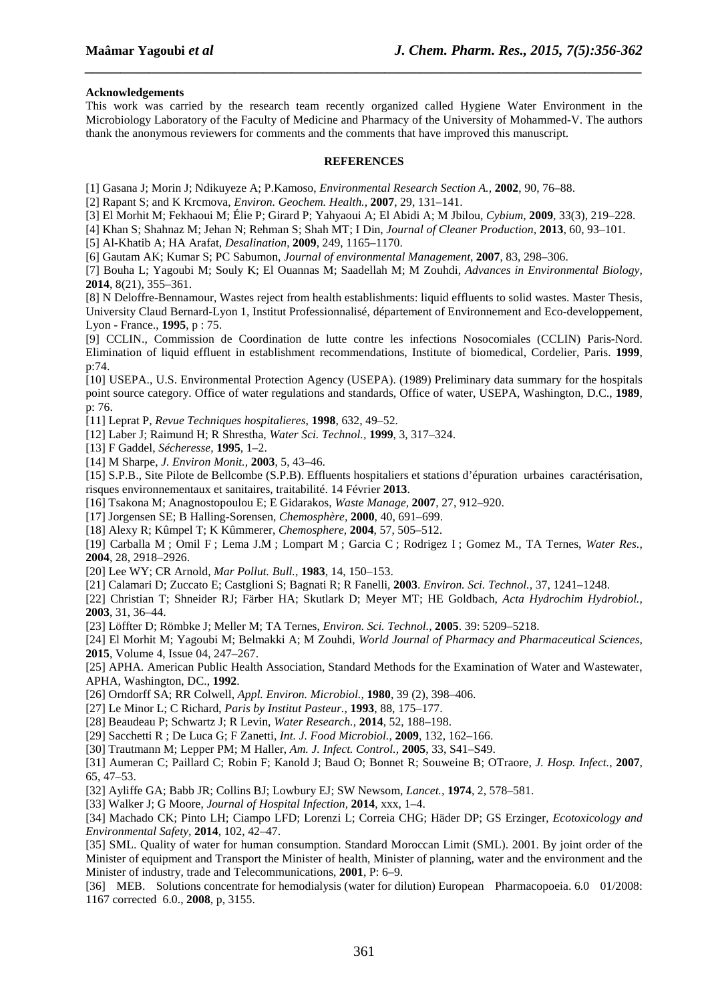#### **Acknowledgements**

This work was carried by the research team recently organized called Hygiene Water Environment in the Microbiology Laboratory of the Faculty of Medicine and Pharmacy of the University of Mohammed-V. The authors thank the anonymous reviewers for comments and the comments that have improved this manuscript.

*\_\_\_\_\_\_\_\_\_\_\_\_\_\_\_\_\_\_\_\_\_\_\_\_\_\_\_\_\_\_\_\_\_\_\_\_\_\_\_\_\_\_\_\_\_\_\_\_\_\_\_\_\_\_\_\_\_\_\_\_\_\_\_\_\_\_\_\_\_\_\_\_\_\_\_\_\_\_*

#### **REFERENCES**

[1] Gasana J; Morin J; Ndikuyeze A; P.Kamoso, *Environmental Research Section A.,* **2002**, 90, 76–88.

[2] Rapant S; and K Krcmova, *Environ. Geochem. Health.,* **2007**, 29, 131–141.

[3] El Morhit M; Fekhaoui M; Élie P; Girard P; Yahyaoui A; El Abidi A; M Jbilou, *Cybium,* **2009**, 33(3), 219–228.

[4] Khan S; Shahnaz M; Jehan N; Rehman S; Shah MT; I Din, *Journal of Cleaner Production*, **2013**, 60, 93–101.

[5] Al-Khatib A; HA Arafat, *Desalination*, **2009**, 249, 1165–1170.

[6] Gautam AK; Kumar S; PC Sabumon, *Journal of environmental Management*, **2007**, 83, 298–306.

[7] Bouha L; Yagoubi M; Souly K; El Ouannas M; Saadellah M; M Zouhdi, *Advances in Environmental Biology,* **2014**, 8(21), 355–361.

[8] N Deloffre-Bennamour, Wastes reject from health establishments: liquid effluents to solid wastes. Master Thesis, University Claud Bernard-Lyon 1, Institut Professionnalisé, département of Environnement and Eco-developpement, Lyon - France., **1995**, p : 75.

[9] CCLIN., Commission de Coordination de lutte contre les infections Nosocomiales (CCLIN) Paris-Nord. Elimination of liquid effluent in establishment recommendations, Institute of biomedical, Cordelier, Paris. **1999**, p:74.

[10] USEPA., U.S. Environmental Protection Agency (USEPA). (1989) Preliminary data summary for the hospitals point source category. Office of water regulations and standards, Office of water, USEPA, Washington, D.C., **1989**, p: 76.

[11] Leprat P, *Revue Techniques hospitalieres*, **1998**, 632, 49–52.

[12] Laber J; Raimund H; R Shrestha, *Water Sci. Technol.,* **1999**, 3, 317–324.

- [13] F Gaddel, *Sécheresse,* **1995**, 1–2.
- [14] M Sharpe, *J. Environ Monit.,* **2003**, 5, 43–46.

[15] S.P.B., Site Pilote de Bellcombe (S.P.B). Effluents hospitaliers et stations d'épuration urbaines caractérisation, risques environnementaux et sanitaires, traitabilité. 14 Février **2013**.

[16] Tsakona M; Anagnostopoulou E; E Gidarakos, *Waste Manage,* **2007**, 27, 912–920.

[17] Jorgensen SE; B Halling-Sorensen, *Chemosphère,* **2000**, 40, 691–699.

[18] Alexy R; Kûmpel T; K Kûmmerer, *Chemosphere,* **2004**, 57, 505–512.

[19] Carballa M ; Omil F ; Lema J.M ; Lompart M ; Garcia C ; Rodrigez I ; Gomez M., TA Ternes, *Water Res.,* **2004**, 28, 2918–2926.

[20] Lee WY; CR Arnold, *Mar Pollut. Bull.,* **1983**, 14, 150–153.

[21] Calamari D; Zuccato E; Castglioni S; Bagnati R; R Fanelli, **2003**. *Environ. Sci. Technol.,* 37, 1241–1248.

[22] Christian T; Shneider RJ; Färber HA; Skutlark D; Meyer MT; HE Goldbach, *Acta Hydrochim Hydrobiol.,* **2003**, 31, 36–44.

[23] Löffter D; Römbke J; Meller M; TA Ternes, *Environ. Sci. Technol.,* **2005**. 39: 5209–5218.

[24] El Morhit M; Yagoubi M; Belmakki A; M Zouhdi, *World Journal of Pharmacy and Pharmaceutical Sciences,* **2015**, Volume 4, Issue 04, 247–267.

[25] APHA. American Public Health Association, Standard Methods for the Examination of Water and Wastewater, APHA, Washington, DC., **1992**.

[26] Orndorff SA; RR Colwell, *Appl. Environ. Microbiol.,* **1980**, 39 (2), 398–406.

[27] Le Minor L; C Richard, *Paris by Institut Pasteur.,* **1993**, 88, 175–177.

[28] Beaudeau P; Schwartz J; R Levin, *Water Research.,* **2014**, 52, 188–198.

[29] Sacchetti R ; De Luca G; F Zanetti, *Int. J. Food Microbiol.,* **2009**, 132, 162–166.

[30] Trautmann M; Lepper PM; M Haller, *Am. J. Infect. Control.,* **2005**, 33, S41–S49.

[31] Aumeran C; Paillard C; Robin F; Kanold J; Baud O; Bonnet R; Souweine B; OTraore, *J. Hosp. Infect.,* **2007**, 65, 47–53.

[32] Ayliffe GA; Babb JR; Collins BJ; Lowbury EJ; SW Newsom, *Lancet.,* **1974**, 2, 578–581.

[33] Walker J; G Moore, *Journal of Hospital Infection,* **2014**, xxx, 1–4.

[34] Machado CK; Pinto LH; Ciampo LFD; Lorenzi L; Correia CHG; Häder DP; GS Erzinger, *Ecotoxicology and Environmental Safety,* **2014**, 102, 42–47.

[35] SML. Quality of water for human consumption. Standard Moroccan Limit (SML). 2001. By joint order of the Minister of equipment and Transport the Minister of health, Minister of planning, water and the environment and the Minister of industry, trade and Telecommunications, **2001**, P: 6–9.

[36] MEB. Solutions concentrate for hemodialysis (water for dilution) European Pharmacopoeia. 6.0 01/2008: 1167 corrected 6.0., **2008**, p, 3155.